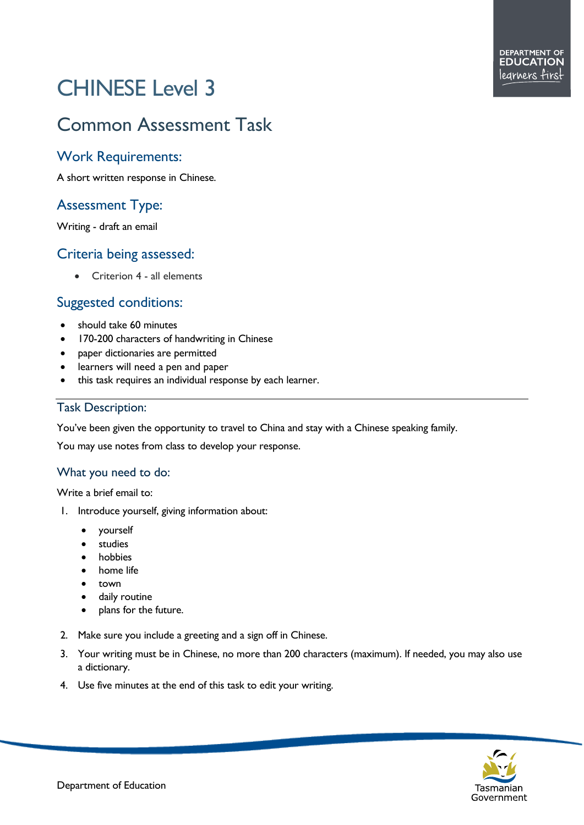# CHINESE Level 3

# Common Assessment Task

#### Work Requirements:

A short written response in Chinese.

## Assessment Type:

Writing - draft an email

#### Criteria being assessed:

• Criterion 4 - all elements

### Suggested conditions:

- should take 60 minutes
- 170-200 characters of handwriting in Chinese
- paper dictionaries are permitted
- learners will need a pen and paper
- this task requires an individual response by each learner.

#### Task Description:

You've been given the opportunity to travel to China and stay with a Chinese speaking family.

You may use notes from class to develop your response.

#### What you need to do:

Write a brief email to:

- 1. Introduce yourself, giving information about:
	- yourself
	- **studies**
	- **hobbies**
	- home life
	- town
	- daily routine
	- plans for the future.
- 2. Make sure you include a greeting and a sign off in Chinese.
- 3. Your writing must be in Chinese, no more than 200 characters (maximum). If needed, you may also use a dictionary.
- 4. Use five minutes at the end of this task to edit your writing.